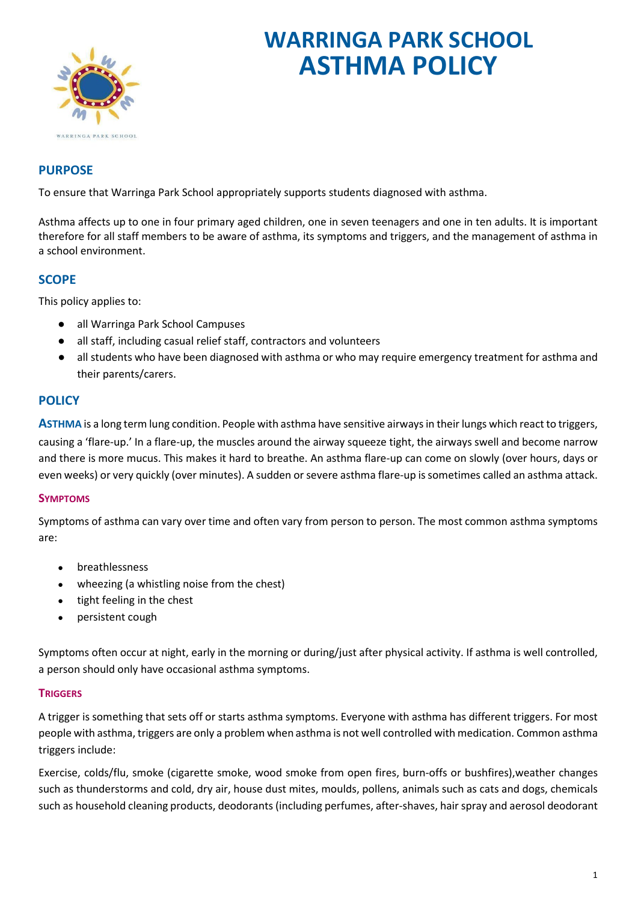

# **WARRINGA PARK SCHOOL ASTHMA POLICY**

# **PURPOSE**

To ensure that Warringa Park School appropriately supports students diagnosed with asthma.

Asthma affects up to one in four primary aged children, one in seven teenagers and one in ten adults. It is important therefore for all staff members to be aware of asthma, its symptoms and triggers, and the management of asthma in a school environment.

# **SCOPE**

This policy applies to:

- all Warringa Park School Campuses
- all staff, including casual relief staff, contractors and volunteers
- all students who have been diagnosed with asthma or who may require emergency treatment for asthma and their parents/carers.

# **POLICY**

**ASTHMA** is a long term lung condition. People with asthma have sensitive airways in their lungs which react to triggers, causing a 'flare-up.' In a flare-up, the muscles around the airway squeeze tight, the airways swell and become narrow and there is more mucus. This makes it hard to breathe. An asthma flare-up can come on slowly (over hours, days or even weeks) or very quickly (over minutes). A sudden or severe asthma flare-up is sometimes called an asthma attack.

# **SYMPTOMS**

Symptoms of asthma can vary over time and often vary from person to person. The most common asthma symptoms are:

- breathlessness
- wheezing (a whistling noise from the chest)
- tight feeling in the chest
- persistent cough

Symptoms often occur at night, early in the morning or during/just after physical activity. If asthma is well controlled, a person should only have occasional asthma symptoms.

# **TRIGGERS**

A trigger is something that sets off or starts asthma symptoms. Everyone with asthma has different triggers. For most people with asthma, triggers are only a problem when asthma is not well controlled with medication. Common asthma triggers include:

Exercise, colds/flu, smoke (cigarette smoke, wood smoke from open fires, burn-offs or bushfires),weather changes such as thunderstorms and cold, dry air, house dust mites, moulds, pollens, animals such as cats and dogs, chemicals such as household cleaning products, deodorants (including perfumes, after-shaves, hair spray and aerosol deodorant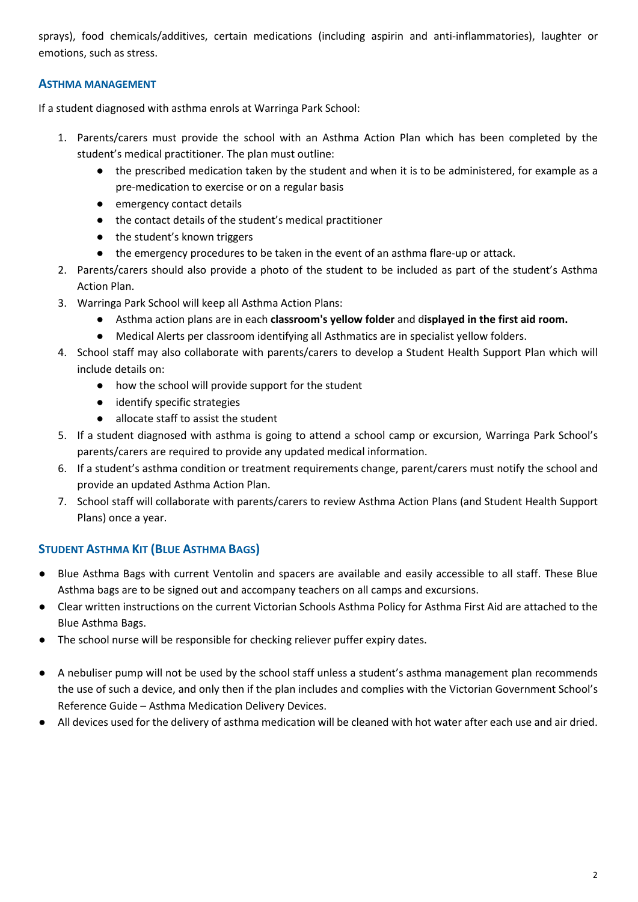sprays), food chemicals/additives, certain medications (including aspirin and anti-inflammatories), laughter or emotions, such as stress.

# **ASTHMA MANAGEMENT**

If a student diagnosed with asthma enrols at Warringa Park School:

- 1. Parents/carers must provide the school with an Asthma Action Plan which has been completed by the student's medical practitioner. The plan must outline:
	- the prescribed medication taken by the student and when it is to be administered, for example as a pre-medication to exercise or on a regular basis
	- emergency contact details
	- the contact details of the student's medical practitioner
	- the student's known triggers
	- the emergency procedures to be taken in the event of an asthma flare-up or attack.
- 2. Parents/carers should also provide a photo of the student to be included as part of the student's Asthma Action Plan.
- 3. Warringa Park School will keep all Asthma Action Plans:
	- Asthma action plans are in each **classroom's yellow folder** and d**isplayed in the first aid room.**
	- Medical Alerts per classroom identifying all Asthmatics are in specialist yellow folders.
- 4. School staff may also collaborate with parents/carers to develop a Student Health Support Plan which will include details on:
	- how the school will provide support for the student
	- identify specific strategies
	- allocate staff to assist the student
- 5. If a student diagnosed with asthma is going to attend a school camp or excursion, Warringa Park School's parents/carers are required to provide any updated medical information.
- 6. If a student's asthma condition or treatment requirements change, parent/carers must notify the school and provide an updated Asthma Action Plan.
- 7. School staff will collaborate with parents/carers to review Asthma Action Plans (and Student Health Support Plans) once a year.

# **STUDENT ASTHMA KIT (BLUE ASTHMA BAGS)**

- Blue Asthma Bags with current Ventolin and spacers are available and easily accessible to all staff. These Blue Asthma bags are to be signed out and accompany teachers on all camps and excursions.
- Clear written instructions on the current Victorian Schools Asthma Policy for Asthma First Aid are attached to the Blue Asthma Bags.
- The school nurse will be responsible for checking reliever puffer expiry dates.
- A nebuliser pump will not be used by the school staff unless a student's asthma management plan recommends the use of such a device, and only then if the plan includes and complies with the Victorian Government School's Reference Guide – Asthma Medication Delivery Devices.
- All devices used for the delivery of asthma medication will be cleaned with hot water after each use and air dried.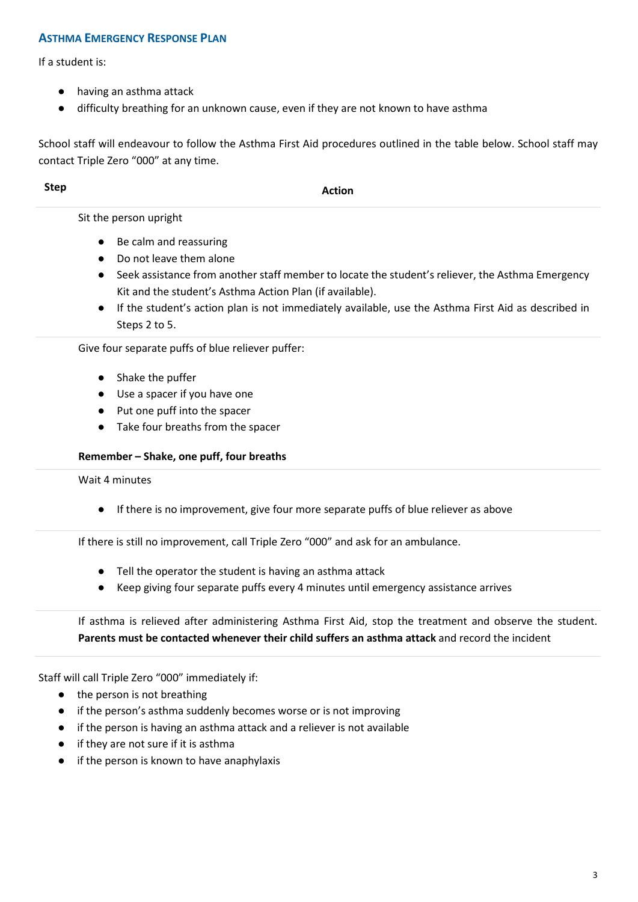### **ASTHMA EMERGENCY RESPONSE PLAN**

If a student is:

- having an asthma attack
- difficulty breathing for an unknown cause, even if they are not known to have asthma

School staff will endeavour to follow the Asthma First Aid procedures outlined in the table below. School staff may contact Triple Zero "000" at any time.

**Step Action** 

Sit the person upright

- Be calm and reassuring
- Do not leave them alone
- Seek assistance from another staff member to locate the student's reliever, the Asthma Emergency Kit and the student's Asthma Action Plan (if available).
- If the student's action plan is not immediately available, use the Asthma First Aid as described in Steps 2 to 5.

Give four separate puffs of blue reliever puffer:

- Shake the puffer
- Use a spacer if you have one
- Put one puff into the spacer
- Take four breaths from the spacer

### **Remember – Shake, one puff, four breaths**

Wait 4 minutes

● If there is no improvement, give four more separate puffs of blue reliever as above

If there is still no improvement, call Triple Zero "000" and ask for an ambulance.

- Tell the operator the student is having an asthma attack
- Keep giving four separate puffs every 4 minutes until emergency assistance arrives

If asthma is relieved after administering Asthma First Aid, stop the treatment and observe the student. **Parents must be contacted whenever their child suffers an asthma attack** and record the incident

Staff will call Triple Zero "000" immediately if:

- the person is not breathing
- if the person's asthma suddenly becomes worse or is not improving
- if the person is having an asthma attack and a reliever is not available
- if they are not sure if it is asthma
- if the person is known to have anaphylaxis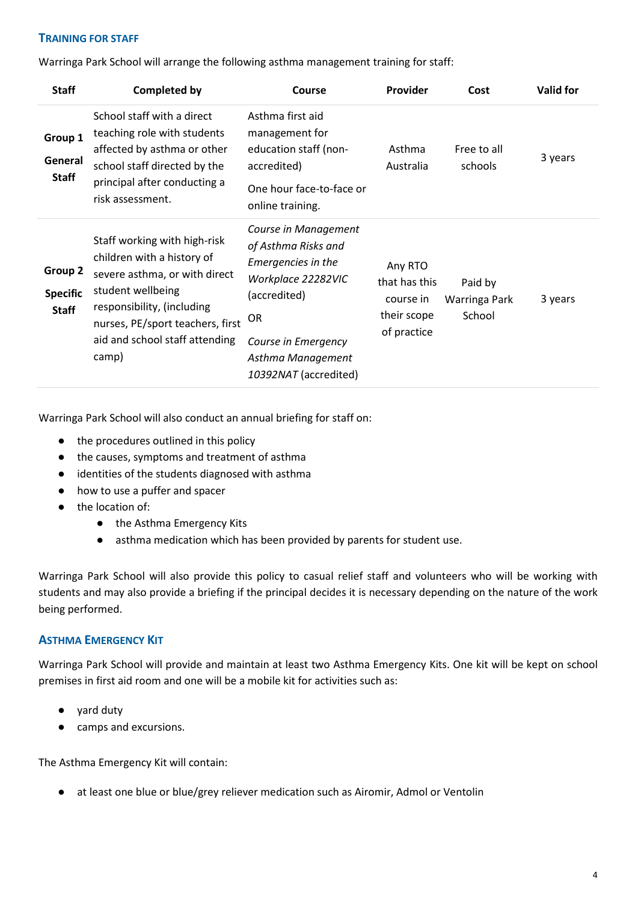### **TRAINING FOR STAFF**

Warringa Park School will arrange the following asthma management training for staff:

| <b>Staff</b>                               | <b>Completed by</b>                                                                                                                                                                                                           | Course                                                                                                                                                                                    | Provider                                                            | Cost                               | <b>Valid for</b> |
|--------------------------------------------|-------------------------------------------------------------------------------------------------------------------------------------------------------------------------------------------------------------------------------|-------------------------------------------------------------------------------------------------------------------------------------------------------------------------------------------|---------------------------------------------------------------------|------------------------------------|------------------|
| Group 1<br>General<br><b>Staff</b>         | School staff with a direct<br>teaching role with students<br>affected by asthma or other<br>school staff directed by the<br>principal after conducting a<br>risk assessment.                                                  | Asthma first aid<br>management for<br>education staff (non-<br>accredited)<br>One hour face-to-face or<br>online training.                                                                | Asthma<br>Australia                                                 | Free to all<br>schools             | 3 years          |
| Group 2<br><b>Specific</b><br><b>Staff</b> | Staff working with high-risk<br>children with a history of<br>severe asthma, or with direct<br>student wellbeing<br>responsibility, (including<br>nurses, PE/sport teachers, first<br>aid and school staff attending<br>camp) | Course in Management<br>of Asthma Risks and<br>Emergencies in the<br>Workplace 22282VIC<br>(accredited)<br><b>OR</b><br>Course in Emergency<br>Asthma Management<br>10392NAT (accredited) | Any RTO<br>that has this<br>course in<br>their scope<br>of practice | Paid by<br>Warringa Park<br>School | 3 years          |

Warringa Park School will also conduct an annual briefing for staff on:

- the procedures outlined in this policy
- the causes, symptoms and treatment of asthma
- identities of the students diagnosed with asthma
- how to use a puffer and spacer
- the location of:
	- the Asthma Emergency Kits
	- asthma medication which has been provided by parents for student use.

Warringa Park School will also provide this policy to casual relief staff and volunteers who will be working with students and may also provide a briefing if the principal decides it is necessary depending on the nature of the work being performed.

# **ASTHMA EMERGENCY KIT**

Warringa Park School will provide and maintain at least two Asthma Emergency Kits. One kit will be kept on school premises in first aid room and one will be a mobile kit for activities such as:

- yard duty
- camps and excursions.

The Asthma Emergency Kit will contain:

● at least one blue or blue/grey reliever medication such as Airomir, Admol or Ventolin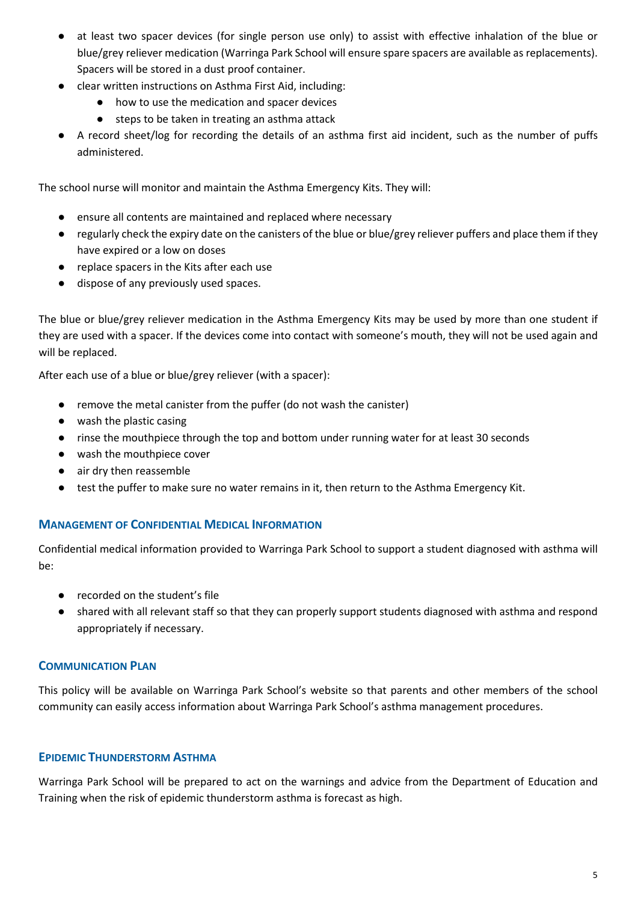- at least two spacer devices (for single person use only) to assist with effective inhalation of the blue or blue/grey reliever medication (Warringa Park School will ensure spare spacers are available as replacements). Spacers will be stored in a dust proof container.
- clear written instructions on Asthma First Aid, including:
	- how to use the medication and spacer devices
	- steps to be taken in treating an asthma attack
- A record sheet/log for recording the details of an asthma first aid incident, such as the number of puffs administered.

The school nurse will monitor and maintain the Asthma Emergency Kits. They will:

- ensure all contents are maintained and replaced where necessary
- regularly check the expiry date on the canisters of the blue or blue/grey reliever puffers and place them if they have expired or a low on doses
- replace spacers in the Kits after each use
- dispose of any previously used spaces.

The blue or blue/grey reliever medication in the Asthma Emergency Kits may be used by more than one student if they are used with a spacer. If the devices come into contact with someone's mouth, they will not be used again and will be replaced.

After each use of a blue or blue/grey reliever (with a spacer):

- remove the metal canister from the puffer (do not wash the canister)
- wash the plastic casing
- rinse the mouthpiece through the top and bottom under running water for at least 30 seconds
- wash the mouthpiece cover
- air dry then reassemble
- test the puffer to make sure no water remains in it, then return to the Asthma Emergency Kit.

# **MANAGEMENT OF CONFIDENTIAL MEDICAL INFORMATION**

Confidential medical information provided to Warringa Park School to support a student diagnosed with asthma will be:

- recorded on the student's file
- shared with all relevant staff so that they can properly support students diagnosed with asthma and respond appropriately if necessary.

# **COMMUNICATION PLAN**

This policy will be available on Warringa Park School's website so that parents and other members of the school community can easily access information about Warringa Park School's asthma management procedures.

# **EPIDEMIC THUNDERSTORM ASTHMA**

Warringa Park School will be prepared to act on the warnings and advice from the Department of Education and Training when the risk of epidemic thunderstorm asthma is forecast as high.